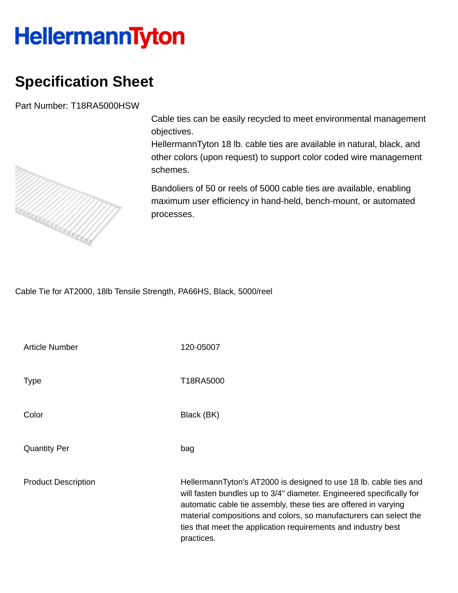## **HellermannTyton**

## **Specification Sheet**

Part Number: T18RA5000HSW



HellermannTyton 18 lb. cable ties are available in natural, black, and other colors (upon request) to support color coded wire management schemes.

Bandoliers of 50 or reels of 5000 cable ties are available, enabling maximum user efficiency in hand-held, bench-mount, or automated processes.

Cable Tie for AT2000, 18lb Tensile Strength, PA66HS, Black, 5000/reel

Article Number 120-05007

Type Type T18RA5000

Color Black (BK)

Quantity Per bag

Product Description HellermannTyton's AT2000 is designed to use 18 lb. cable ties and will fasten bundles up to 3/4" diameter. Engineered specifically for automatic cable tie assembly, these ties are offered in varying material compositions and colors, so manufacturers can select the ties that meet the application requirements and industry best practices.

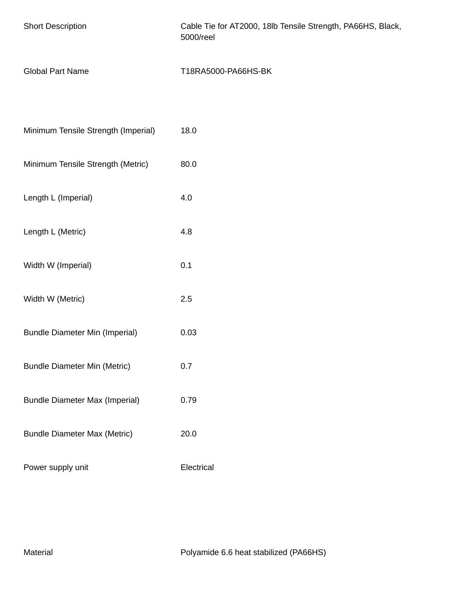| <b>Short Description</b>              | Cable Tie for AT2000, 18lb Tensile Strength, PA66HS, Black,<br>5000/reel |  |  |  |
|---------------------------------------|--------------------------------------------------------------------------|--|--|--|
| <b>Global Part Name</b>               | T18RA5000-PA66HS-BK                                                      |  |  |  |
| Minimum Tensile Strength (Imperial)   | 18.0                                                                     |  |  |  |
| Minimum Tensile Strength (Metric)     | 80.0                                                                     |  |  |  |
| Length L (Imperial)                   | 4.0                                                                      |  |  |  |
| Length L (Metric)                     | 4.8                                                                      |  |  |  |
| Width W (Imperial)                    | 0.1                                                                      |  |  |  |
| Width W (Metric)                      | 2.5                                                                      |  |  |  |
| <b>Bundle Diameter Min (Imperial)</b> | 0.03                                                                     |  |  |  |
| <b>Bundle Diameter Min (Metric)</b>   | 0.7                                                                      |  |  |  |
| <b>Bundle Diameter Max (Imperial)</b> | 0.79                                                                     |  |  |  |
| <b>Bundle Diameter Max (Metric)</b>   | 20.0                                                                     |  |  |  |
| Power supply unit                     | Electrical                                                               |  |  |  |